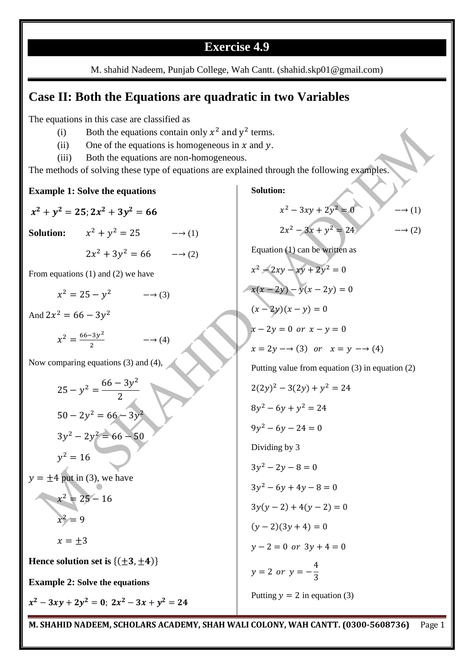## **Exercise 4.9**

M. shahid Nadeem, Punjab College, Wah Cantt. (shahid.skp01@gmail.com)

## **Case II: Both the Equations are quadratic in two Variables**

The equations in this case are classified as

- (i) Both the equations contain only  $x^2$  and  $y^2$  terms.
- (ii) One of the equations is homogeneous in  $x$  and  $y$ .
- (iii) Both the equations are non-homogeneous.

The methods of solving these type of equations are explained through the following examples.

**Example 1: Solve the equations**  $x^2 + y^2 = 25$ ;  $2x^2 + 3y^2$ **Solution:**  $x^2 + y^2 = 25$   $\longrightarrow$  (1)  $2x^2 + 3y^2 = 66$   $\longrightarrow$  (2) From equations (1) and (2) we have  $x^2$  $\rightarrow$  (3) And  $2x^2 = 66 - 3y^2$  $x^2 = \frac{66-3y^2}{x^2}$  $\overline{\mathbf{c}}$  $\rightarrow$  (4) Now comparing equations (3) and (4),  $25 - y^2 = \frac{66 - 3y^2}{2}$  $\overline{c}$  $50 - 2y^2 = 66 - 3y^2$  $3y^2 - 2y^2$  $y^2$  $y = \pm 4$  put in (3), we have  $x^2$  $x^2$  $x = \pm 3$ **Hence solution set is**  $\{(\pm 3, \pm 4)\}$ **Example 2: Solve the equations**  $x^2-3xy+2y^2=0$ ;  $2x^2-3x+y^2$ **Solution:**  $x^2 - 3xy + 2y^2 = 0$   $\longrightarrow$  (1)  $2x^2 - 3x + y^2 = 24$   $\longrightarrow$  (2) Equation (1) can be written as  $x^2 - 2xy - xy + 2y^2$  $x(x - 2y) - y(x - 2y) = 0$  $(x - 2y)(x - y) = 0$  $x - 2y = 0$  or  $x - y = 0$  $x = 2y \rightarrow (3)$  or  $x = y \rightarrow (4)$ Putting value from equation (3) in equation (2)  $2(2y)^2 - 3(2y) + y^2$  $8y^2 - 6y + y^2$  $9y^2$ Dividing by 3  $3y^2$  $3y^2$  $3y(y-2) + 4(y-2) = 0$  $(y - 2)(3y + 4) = 0$  $y - 2 = 0$  or  $3y + 4 = 0$  $\mathcal{Y}$  $\overline{4}$ 3 Putting  $y = 2$  in equation (3)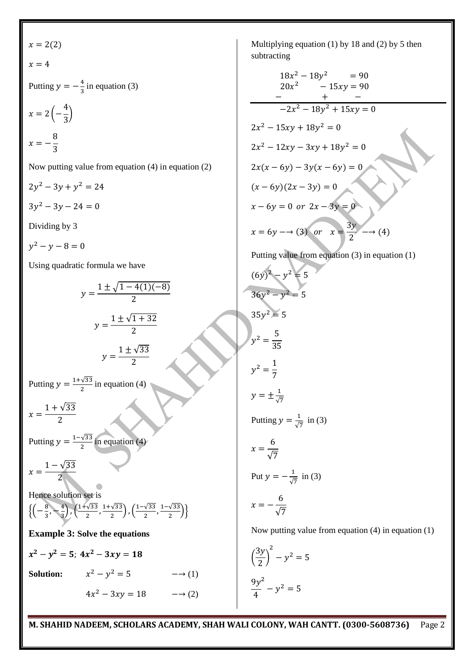x = 2(2)  
\nx = 4  
\nPutting y = 
$$
-\frac{4}{3}
$$
 in equation (3)  
\nx = 2 $\left(-\frac{4}{3}\right)$   
\nx =  $-\frac{8}{3}$   
\nNow putting value from equation (4) in equation (2)  
\n $2y^2 - 3y + y^2 = 24$   
\n $3y^2 - 3y - 24 = 0$   
\nDividing by 3  
\ny<sup>2</sup> - y - 8 = 0  
\nUsing quadratic formula we have  
\n $y = \frac{1 \pm \sqrt{1-4(1)(-8)}}{2}$   
\n $y = \frac{1 \pm \sqrt{1+32}}{2}$   
\n $y = \frac{1 \pm \sqrt{33}}{2}$   
\n $y = \frac{1 \pm \sqrt{33}}{2}$   
\nPutting y =  $\frac{1+\sqrt{33}}{2}$  in equation (4)  
\nx =  $\frac{1-\sqrt{33}}{2}$   
\nPutting y =  $\frac{1-\sqrt{33}}{2}$  in equation (4)  
\nx =  $\frac{1-\sqrt{33}}{2}$   
\nHence solution set is  
\n $\left(-\frac{8}{3}, -\frac{4}{3}\right), (\frac{1+\sqrt{33}}{2}, \frac{1+\sqrt{33}}{2}), (\frac{1-\sqrt{33}}{2}, \frac{1-\sqrt{33}}{2})\right\}$   
\nExample 3: Solve the equations  
\nx<sup>2</sup> - y<sup>2</sup> = 5; 4x<sup>2</sup> - 3xy = 18  
\nSolution:  $x^2 - y^2 = 5$   $\longrightarrow$  (1)  
\n $4x^2 - 3xy = 18$   $\longrightarrow$  (2)  
\n $\frac{9y}{4}$ 

ultiplying equation  $(1)$  by 18 and  $(2)$  by 5 then btracting

$$
18x^{2} - 18y^{2} = 90
$$
  
\n
$$
20x^{2} - 15xy = 90
$$
  
\n
$$
-2x^{2} - 18y^{2} + 15xy = 0
$$
  
\n
$$
2x^{2} - 15xy + 18y^{2} = 0
$$
  
\n
$$
2x^{2} - 12xy - 3xy + 18y^{2} = 0
$$
  
\n
$$
2x(x - 6y) - 3y(x - 6y) = 0
$$
  
\n
$$
(x - 6y)(2x - 3y) = 0
$$
  
\n
$$
x - 6y = 0 \text{ or } 2x - 3y = 0
$$
  
\n
$$
x = 6y \rightarrow (3) \text{ or } x = \frac{3y}{2} \rightarrow (4)
$$
  
\nPutting value from equation (3) in equation (1)  
\n
$$
(6y)^{2} - y^{2} = 5
$$
  
\n
$$
36y^{2} - y^{2} = 5
$$
  
\n
$$
36y^{2} = y^{2} = 5
$$
  
\n
$$
y^{2} = \frac{5}{35}
$$
  
\n
$$
y^{2} = \frac{1}{7}
$$
  
\n
$$
y = \pm \frac{1}{\sqrt{7}}
$$
  
\nPutting  $y = \frac{1}{\sqrt{7}}$  in (3)  
\n
$$
x = \frac{6}{\sqrt{7}}
$$
  
\nPut  $y = -\frac{1}{\sqrt{7}}$  in (3)  
\n
$$
x = -\frac{6}{\sqrt{7}}
$$
  
\nNow putting value from equation (4) in equation (1)  
\n
$$
(\frac{3y}{2})^{2} - y^{2} = 5
$$
  
\n
$$
9x^{2}
$$

**M. SHAHID NADEEM, SCHOLARS ACADEMY, SHAH WALI COLONY, WAH CANTT. (0300-5608736)** Page 2

 $-y^2$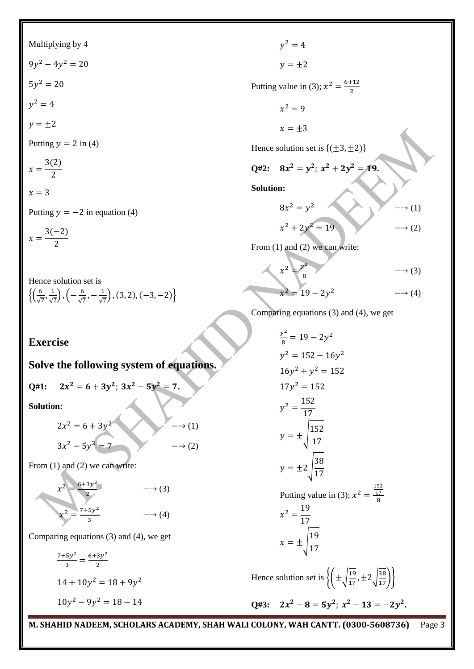Multiplying by 4  $9y^2 - 4y^2$  $5y^2$  $y^2$  $y = \pm 2$ Putting  $y = 2$  in (4)  $\mathcal{X}$  $3(2)$  $\overline{\mathbf{c}}$  $x=3$ Putting  $y = -2$  in equation (4)  $(2(2)$ 

$$
x=\frac{3(-2)}{2}
$$

Hence solution set is

$$
\left\{ \left( \frac{6}{\sqrt{7}}, \frac{1}{\sqrt{7}} \right), \left( -\frac{6}{\sqrt{7}}, -\frac{1}{\sqrt{7}} \right), (3, 2), (-3, -2) \right\}
$$

**Exercise**

## **Solve the following system of equations.**

$$
Q\#1: \quad 2x^2 = 6 + 3y^2; \; 3x^2 - 5y^2 = 7.
$$

**Solution:**

$$
2x2 = 6 + 3y2 \longrightarrow (1)
$$
  

$$
3x2 - 5y2 = 7 \longrightarrow (2)
$$

From (1) and (2) we can write:

$$
x^{2} = \frac{6+3y^{2}}{2}
$$

$$
x^{2} = \frac{7+5y^{2}}{3}
$$

$$
x^{2} = \frac{7+5y^{2}}{3}
$$
 
$$
x^{2} = \frac{7+5y^{2}}{3}
$$

Comparing equations (3) and (4), we get

$$
\frac{7+5y^2}{3} = \frac{6+3y^2}{2}
$$
  
14 + 10y<sup>2</sup> = 18 + 9y<sup>2</sup>  
10y<sup>2</sup> - 9y<sup>2</sup> = 18 - 14

$$
y^{2} = 4
$$
  
\n
$$
y = \pm 2
$$
  
\nPutting value in (3);  $x^{2} = \frac{6+12}{2}$   
\n
$$
x^{2} = 9
$$
  
\n
$$
x = \pm 3
$$
  
\nHence solution set is {( $\pm 3, \pm 2$ )}  
\nQ#2:  $8x^{2} = y^{2}$ ;  $x^{2} + 2y^{2} = 19$ .  
\nSolution:  
\n
$$
8x^{2} = y^{2}
$$
  
\n
$$
x^{2} + 2y^{2} = 19
$$
  
\nFrom (1) and (2) we can write:  
\n
$$
x^{2} = \frac{y^{2}}{8}
$$
  
\n
$$
x^{2} = 19 - 2y^{2}
$$
  
\n
$$
x^{2} = 19 - 2y^{2}
$$
  
\n
$$
x^{2} = 19 - 2y^{2}
$$
  
\n
$$
x^{2} = 19 - 2y^{2}
$$
  
\n
$$
x^{2} = 19 - 2y^{2}
$$
  
\n
$$
x^{2} = 19 - 2y^{2}
$$
  
\n
$$
x^{2} = 19 - 2y^{2}
$$
  
\n
$$
x^{2} = 19 - 2y^{2}
$$

Comparing equations 
$$
(3)
$$
 and  $(4)$ , we get

$$
\frac{y^2}{8} = 19 - 2y^2
$$
  
\n
$$
y^2 = 152 - 16y^2
$$
  
\n
$$
16y^2 + y^2 = 152
$$
  
\n
$$
17y^2 = 152
$$
  
\n
$$
y^2 = \frac{152}{17}
$$
  
\n
$$
y = \pm \sqrt{\frac{152}{17}}
$$
  
\n
$$
y = \pm 2 \sqrt{\frac{38}{17}}
$$
  
\nPutting value in (3);  $x^2 = \frac{\frac{152}{17}}{8}$   
\n
$$
x^2 = \frac{19}{17}
$$
  
\n
$$
x = \pm \sqrt{\frac{19}{17}}
$$
  
\nHence solution set is  $\{(\pm \sqrt{\frac{19}{17}}, \pm 2\sqrt{\frac{38}{17}})\}$   
\nQ#3:  $2x^2 - 8 = 5y^2$ ;  $x^2 - 13 = -2y^2$ .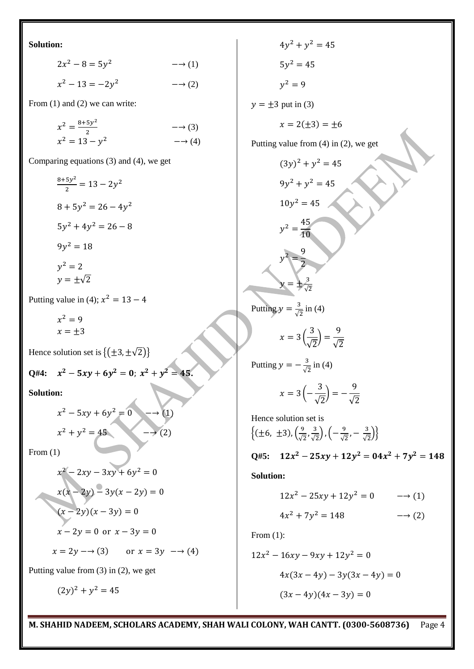**Solution:**

$$
2x2 - 8 = 5y2 \t\t -\to (1)
$$
  

$$
x2 - 13 = -2y2 \t\t -\to (2)
$$

From (1) and (2) we can write:

| $x^2 = \frac{8+5y^2}{4}$ | $\rightarrow$ (3) |
|--------------------------|-------------------|
| $x^2 = 13 - y^2$         | $\rightarrow$ (4) |

Comparing equations (3) and (4), we get

$$
\frac{8+5y^2}{2} = 13 - 2y^2
$$
  
\n
$$
8 + 5y^2 = 26 - 4y^2
$$
  
\n
$$
5y^2 + 4y^2 = 26 - 8
$$
  
\n
$$
9y^2 = 18
$$
  
\n
$$
y^2 = 2
$$
  
\n
$$
y = \pm\sqrt{2}
$$

Putting value in (4);  $x^2$ 

$$
x^2 = 9
$$

$$
x = \pm 3
$$

Hence solution set is  $\{(\pm 3, \pm \sqrt{2})\}$ 

Q#4: 
$$
x^2 - 5xy + 6y^2 = 0
$$
;  $x^2 + y^2 = 45$ .

**Solution:**

$$
x2 - 5xy + 6y2 = 0 \longrightarrow (1)
$$
  

$$
x2 + y2 = 45 \longrightarrow (2)
$$

From (1)

$$
x^{2}-2xy-3xy+6y^{2} = 0
$$
  
\n
$$
x(x-2y)-3y(x-2y) = 0
$$
  
\n
$$
(x-2y)(x-3y) = 0
$$
  
\n
$$
x-2y = 0 \text{ or } x-3y = 0
$$
  
\n
$$
x = 2y \rightarrow (3) \text{ or } x = 3y \rightarrow (4)
$$

Putting value from (3) in (2), we get

$$
(2y)^2 + y^2 = 45
$$

 $4y^2 + y^2$  $5y^2$  $y^2$  $y = \pm 3$  put in (3)  $x = 2(\pm 3) = \pm 6$ Putting value from (4) in (2), we get  $(3y)^2 + y^2$  $9y^2 + y^2$  $10y^2$  $y^2 = \frac{4}{4}$  $\mathbf{1}$  $y^2 = \frac{9}{2}$  $\overline{2}$  $y = \pm \frac{3}{4}$  $\sqrt{2}$ Putting  $y = \frac{3}{4}$  $\frac{5}{\sqrt{2}}$  in (4)  $x=3$ 3  $\sqrt{2}$  $.$ )  $=$ 9  $\sqrt{2}$ Putting  $y = -\frac{3}{4}$  $\frac{5}{\sqrt{2}}$  in (4)  $x=3$  ( 3  $\sqrt{2}$  $.$ )  $=$ 9  $\sqrt{2}$ Hence solution set is  $\{\pm 6, \pm 3), (\frac{9}{4} \}$  $\frac{9}{\sqrt{2}}$ ,  $\frac{3}{\sqrt{2}}$  $\left(\frac{3}{\sqrt{2}}\right), \left(-\frac{9}{\sqrt{2}}\right)$  $\frac{9}{\sqrt{2}}$ ,  $-\frac{3}{\sqrt{2}}$  $\frac{3}{\sqrt{2}}\big)\big\}$ Q#5:  $12x^2 - 25xy + 12y^2 = 04x^2 + 7y^2$ **Solution:**  $12x^2 - 25xy + 12y^2 = 0$   $\longrightarrow$  (1)  $4x^2 + 7y^2 = 148$   $\longrightarrow$  (2) From (1):  $12x^2 - 16xy - 9xy + 12y^2$  $4x(3x - 4y) - 3y(3x - 4y) = 0$ 

 $(3x - 4y)(4x - 3y) = 0$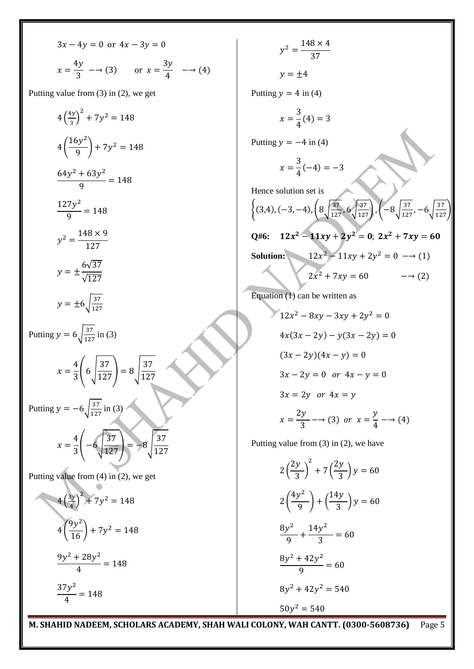$$
3x - 4y = 0 \text{ or } 4x - 3y = 0
$$
  

$$
x = \frac{4y}{3} \longrightarrow (3) \qquad \text{or } x = \frac{3y}{4} \longrightarrow (4)
$$

Putting value from (3) in (2), we get

$$
4\left(\frac{4y}{3}\right)^2 + 7y^2 = 148
$$
  
\n
$$
4\left(\frac{16y^2}{9}\right) + 7y^2 = 148
$$
  
\n
$$
\frac{64y^2 + 63y^2}{9} = 148
$$
  
\n
$$
\frac{127y^2}{9} = 148
$$
  
\n
$$
y^2 = \frac{148 \times 9}{127}
$$
  
\n
$$
y = \pm \frac{6\sqrt{37}}{\sqrt{127}}
$$
  
\n
$$
y = \pm 6\sqrt{\frac{37}{127}}
$$
  
\nPutting  $y = 6\sqrt{\frac{37}{127}}$  in (3)  
\n
$$
x = \frac{4}{3}\left(6\sqrt{\frac{37}{127}}\right) = 8\sqrt{\frac{37}{127}}
$$
  
\nPutting  $y = -6\sqrt{\frac{37}{127}}$  in (3)  
\n
$$
x = \frac{4}{3}\left(-6\sqrt{\frac{37}{127}}\right) = -8\sqrt{\frac{37}{127}}
$$
  
\nPutting value from (4) in (2), we get  
\n
$$
4\left(\frac{3y}{4}\right)^2 + 7y^2 = 148
$$
  
\n
$$
4\left(\frac{9y^2}{16}\right) + 7y^2 = 148
$$
  
\n
$$
\frac{9y^2 + 28y^2}{4} = 148
$$

 $37y^2$  $\frac{6}{4}$  =

 $y^2 = \frac{1}{x}$ 3  $y = \pm 4$ Putting  $y = 4$  in (4)  $\chi$ 3  $\frac{6}{4}(4) =$ Putting  $y = -4$  in (4)  $\chi$ 3  $\frac{6}{4}(-4) =$ Hence solution set is  $\{(3,4), (-3,-4), (8)\}$  $\left(\frac{37}{127},6\sqrt{\frac{37}{127}}\right), \left(-8\sqrt{\frac{3}{127}}\right)$  $\frac{37}{127}, -6\sqrt{\frac{37}{127}}$ Q#6:  $12x^2 - 11xy + 2y^2$ **Solution:**  $12x^2 - 11xy + 2y^2 = 0 \rightarrow (1)$  $2x^2 + 7xy = 60$  - (2) Equation (1) can be written as  $12x^2 - 8xy - 3xy + 2y^2$  $4x(3x - 2y) - y(3x - 2y) = 0$ 

$$
(3x - 2y)(4x - y) = 0
$$
  
3x - 2y = 0 or 4x - y = 0  
3x = 2y or 4x = y  

$$
x = \frac{2y}{3} \rightarrow (3) \text{ or } x = \frac{y}{4} \rightarrow (4)
$$

Putting value from (3) in (2), we have

$$
2\left(\frac{2y}{3}\right)^2 + 7\left(\frac{2y}{3}\right)y = 60
$$
  

$$
2\left(\frac{4y^2}{9}\right) + \left(\frac{14y}{3}\right)y = 60
$$
  

$$
\frac{8y^2}{9} + \frac{14y^2}{3} = 60
$$
  

$$
\frac{8y^2 + 42y^2}{9} = 60
$$
  

$$
8y^2 + 42y^2 = 540
$$
  

$$
50y^2 = 540
$$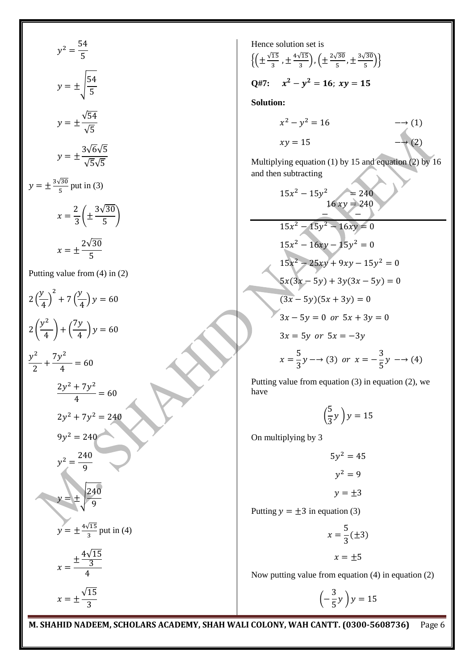$$
y^2 = \frac{54}{5}
$$
  

$$
y = \pm \sqrt{\frac{54}{5}}
$$
  

$$
y = \pm \frac{\sqrt{54}}{\sqrt{5}}
$$
  

$$
y = \pm \frac{3\sqrt{6}\sqrt{5}}{\sqrt{5}\sqrt{5}}
$$
  

$$
y = \pm \frac{3\sqrt{30}}{\sqrt{5}\sqrt{5}}
$$
  

$$
y = \pm \frac{2\sqrt{30}}{\sqrt{5}\sqrt{5}}
$$
  

$$
x = \pm \frac{2\sqrt{30}}{5}
$$
  
Putting value from (4) in (2)  

$$
2(\frac{y}{4})^2 + 7(\frac{y}{4})y = 60
$$
  

$$
2(\frac{y^2}{4}) + (\frac{7y}{4})y = 60
$$
  

$$
y^2 - 7y^2 = -60
$$

2

 $\boldsymbol{\chi}$ 

 $\sqrt{1}$ 3

$$
rac{7y^{2}}{4} + \frac{7y^{2}}{4} = 60
$$
  
+ 
$$
rac{7y^{2}}{4} = 60
$$
  

$$
2y^{2} + 7y^{2} = 240
$$
  

$$
9y^{2} = 240
$$
  

$$
y^{2} = \frac{240}{9}
$$
  

$$
y = \pm \frac{\sqrt{240}}{9}
$$
  

$$
y = \pm \frac{4\sqrt{15}}{3} \text{ put in (4)}
$$
  

$$
x = \frac{\pm \frac{4\sqrt{15}}{3}}{4}
$$

Hence solution set is  
\n
$$
\{(\pm \frac{\sqrt{15}}{3}, \pm \frac{4\sqrt{15}}{3}), (\pm \frac{2\sqrt{30}}{5}, \pm \frac{3\sqrt{30}}{5})\}
$$
\nQ#7:  $x^2 - y^2 = 16$ ;  $xy = 15$   
\nSolution:  
\n $x^2 - y^2 = 16$   $\longrightarrow$  (1)  
\n $xy = 15$   $\longrightarrow$  (2)  
\nMultiplying equation (1) by 15 and equation (2) by 16  
\nand then subtracting  
\n $15x^2 - 15y^2 = 240$   
\n $16xy = 240$   
\n $15x^2 - 15y^2 - 16xy = 0$   
\n $15x^2 - 15y^2 - 16xy = 0$   
\n $15x^2 - 25xy + 9xy - 15y^2 = 0$   
\n $15x^2 - 25xy + 9xy - 15y^2 = 0$   
\n $5x(3x - 5y) + 3y(3x - 5y) = 0$   
\n $(3x - 5y)(5x + 3y) = 0$   
\n $3x - 5y = 0$  or  $5x + 3y = 0$   
\n $3x = 5y$  or  $5x = -3y$   
\n $x = \frac{5}{3}y \longrightarrow (3)$  or  $x = -\frac{3}{5}y \longrightarrow (4)$   
\nPutting value from equation (3) in equation (2), we have  
\n $\begin{pmatrix} 5 \end{pmatrix}$ 

(  $\frac{3}{3}y$ ) y

On multiplying by 3

$$
5y2 = 45
$$

$$
y2 = 9
$$

$$
y = \pm 3
$$

Putting  $y = \pm 3$  in equation (3)

 $\mathcal{X}$ 5  $\frac{5}{3}(\pm 3)$  $x = \pm 5$ 

Now putting value from equation (4) in equation (2)

 $\overline{(-)}$ 3  $\frac{1}{5}y$ ) y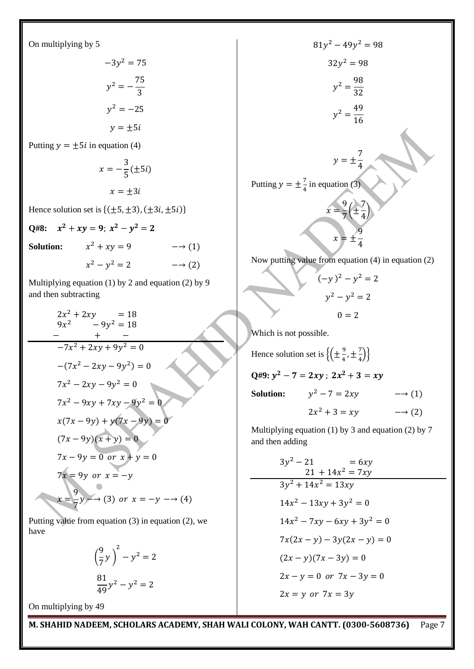On multiplying by 5

$$
-3y2 = 75
$$

$$
y2 = -\frac{75}{3}
$$

$$
y2 = -25
$$

$$
y = \pm 5i
$$

Putting  $y = \pm 5i$  in equation (4)

$$
x = -\frac{3}{5} (\pm 5i)
$$

$$
x = \pm 3i
$$

Hence solution set is  $\{(\pm 5, \pm 3), (\pm 3i, \pm 5i) \}$ 

Q#8:  $x^2 + xy = 9$ ;  $x^2 - y^2$ 

**Solution:**  $x^2 + xy = 9$   $\longrightarrow (1)$ 

 $x^2 - y^2 = 2$   $\longrightarrow$  (2)

Multiplying equation (1) by 2 and equation (2) by 9 and then subtracting

$$
2x^{2} + 2xy = 18
$$
  
\n
$$
9x^{2} - 9y^{2} = 18
$$
  
\n
$$
- x + 1
$$
  
\n
$$
-7x^{2} + 2xy + 9y^{2} = 0
$$
  
\n
$$
-(7x^{2} - 2xy - 9y^{2}) = 0
$$
  
\n
$$
7x^{2} - 2xy - 9y^{2} = 0
$$
  
\n
$$
7x^{2} - 9xy + 7xy - 9y^{2} = 0
$$
  
\n
$$
x(7x - 9y) + y(7x - 9y) = 0
$$
  
\n
$$
(7x - 9y)(x + y) = 0
$$
  
\n
$$
7x - 9y = 0 \text{ or } x + y = 0
$$
  
\n
$$
7x = 9y \text{ or } x = -y
$$
  
\n
$$
x = \frac{9}{7}y \rightarrow (3) \text{ or } x = -y \rightarrow (4)
$$

Putting value from equation (3) in equation (2), we have

$$
\left(\frac{9}{7}y\right)^2 - y^2 = 2
$$

$$
\frac{81}{49}y^2 - y^2 = 2
$$

On multiplying by 49

$$
81y^{2} - 49y^{2} = 98
$$
  
\n
$$
32y^{2} = 98
$$
  
\n
$$
y^{2} = \frac{98}{32}
$$
  
\n
$$
y^{2} = \frac{49}{16}
$$
  
\n
$$
y = \pm \frac{7}{4}
$$
  
\nPutting  $y = \pm \frac{7}{4}$  in equation (3)  
\n
$$
x = \frac{9}{7} \left(\pm \frac{7}{4}\right)
$$
  
\n
$$
x = \pm \frac{9}{4}
$$
  
\nNow putting value from equation (4) in equation (2)  
\n
$$
(-y)^{2} - y^{2} = 2
$$
  
\n
$$
y^{2} - y^{2} = 2
$$
  
\n
$$
y = -2
$$

Which is not possible.

Hence solution set is  $\{(\pm \frac{9}{4})\}$  $\frac{9}{4}$ ,  $\pm \frac{7}{4}$  $\frac{7}{4}$ }  $Q\#9: y^2 - 7 = 2xy; 2x^2$ **Solution:**  $y^2 - 7 = 2xy$   $\longrightarrow$  (1)  $2x^2 + 3 = xy$   $\longrightarrow$  (2)

 $0 = 2$ 

Multiplying equation (1) by 3 and equation (2) by 7 and then adding

$$
3y^{2} - 21 = 6xy
$$
  
\n
$$
21 + 14x^{2} = 7xy
$$
  
\n
$$
3y^{2} + 14x^{2} = 13xy
$$
  
\n
$$
14x^{2} - 13xy + 3y^{2} = 0
$$
  
\n
$$
14x^{2} - 7xy - 6xy + 3y^{2} = 0
$$
  
\n
$$
7x(2x - y) - 3y(2x - y) = 0
$$
  
\n
$$
(2x - y)(7x - 3y) = 0
$$
  
\n
$$
2x - y = 0 \text{ or } 7x - 3y = 0
$$
  
\n
$$
2x = y \text{ or } 7x = 3y
$$